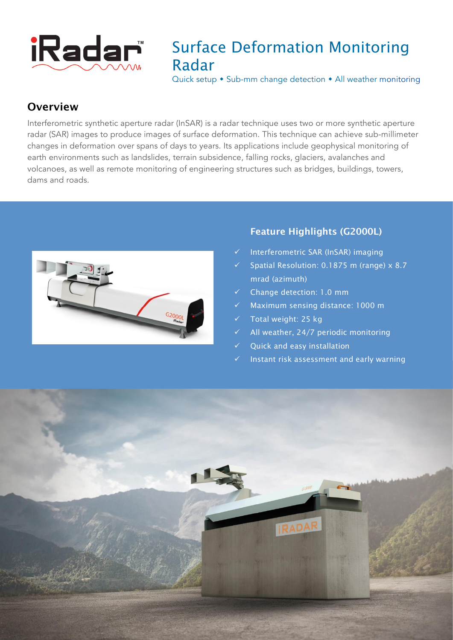

## Surface Deformation Monitoring Radar

Quick setup  $\bullet$  Sub-mm change detection  $\bullet$  All weather monitoring

### **Overview**

Interferometric synthetic aperture radar (InSAR) is a radar technique uses two or more synthetic aperture radar (SAR) images to produce images of surface deformation. This technique can achieve sub-millimeter changes in deformation over spans of days to years. Its applications include geophysical monitoring of earth environments such as landslides, terrain subsidence, falling rocks, glaciers, avalanches and volcanoes, as well as remote monitoring of engineering structures such as bridges, buildings, towers, dams and roads.



### Feature Highlights (G2000L)

- Interferometric SAR (InSAR) imaging
- Spatial Resolution: 0.1875 m (range) x 8.7 mrad (azimuth)
- ü Change detection: 1.0 mm
- Maximum sensing distance: 1000 m
- Total weight: 25 kg
- All weather, 24/7 periodic monitoring
- Quick and easy installation
- $\checkmark$  Instant risk assessment and early warning